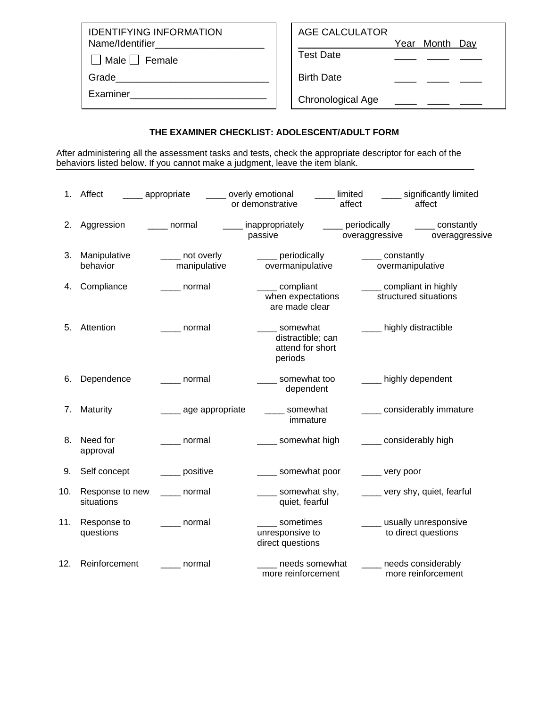IDENTIFYING INFORMATION Name/Identifier\_

 $\Box$  Male  $\Box$  Female

Grade\_\_\_\_\_\_\_\_\_\_\_\_\_\_\_\_\_\_\_\_\_\_\_\_\_\_\_\_

Examiner\_\_\_\_\_\_\_\_\_\_\_\_\_\_\_\_\_\_\_\_\_\_\_\_\_

## AGE CALCULATOR

Year Month Day

Test Date

Birth Date

Chronological Age \_\_\_\_ \_\_\_ \_\_

## **THE EXAMINER CHECKLIST: ADOLESCENT/ADULT FORM**

After administering all the assessment tasks and tests, check the appropriate descriptor for each of the behaviors listed below. If you cannot make a judgment, leave the item blank.

| 1.  | Affect                        | ____ overly emotional<br><sub>__</sub> _ appropriate | or demonstrative                                             | limited<br>affect                   | _____ significantly limited<br>affect            |
|-----|-------------------------------|------------------------------------------------------|--------------------------------------------------------------|-------------------------------------|--------------------------------------------------|
| 2.  | Aggression                    | ____ normal                                          | ____ inappropriately<br>passive                              | ____ periodically<br>overaggressive | _____ constantly<br>overaggressive               |
| 3.  | Manipulative<br>behavior      | _____ not overly<br>manipulative                     | ____ periodically<br>overmanipulative                        | _____ constantly                    | overmanipulative                                 |
| 4.  | Compliance                    | _____ normal                                         | _____ compliant<br>when expectations<br>are made clear       | ___ compliant in highly             | structured situations                            |
| 5.  | Attention                     | normal                                               | somewhat<br>distractible; can<br>attend for short<br>periods | ____ highly distractible            |                                                  |
| 6.  | Dependence                    | ____ normal                                          | __ somewhat too<br>dependent                                 | ____ highly dependent               |                                                  |
| 7.  | Maturity                      | _____ age appropriate                                | somewhat<br>immature                                         |                                     | _____ considerably immature                      |
| 8.  | Need for<br>approval          | normal                                               | ____ somewhat high                                           | considerably high                   |                                                  |
| 9.  | Self concept                  | positive                                             | _____ somewhat poor                                          | _____ very poor                     |                                                  |
| 10. | Response to new<br>situations | _____ normal                                         | _____ somewhat shy,<br>quiet, fearful                        |                                     | ____ very shy, quiet, fearful                    |
| 11. | Response to<br>questions      | _____ normal                                         | sometimes<br>unresponsive to<br>direct questions             |                                     | ____ usually unresponsive<br>to direct questions |
| 12. | Reinforcement                 | normal                                               | needs somewhat<br>more reinforcement                         |                                     | needs considerably<br>more reinforcement         |